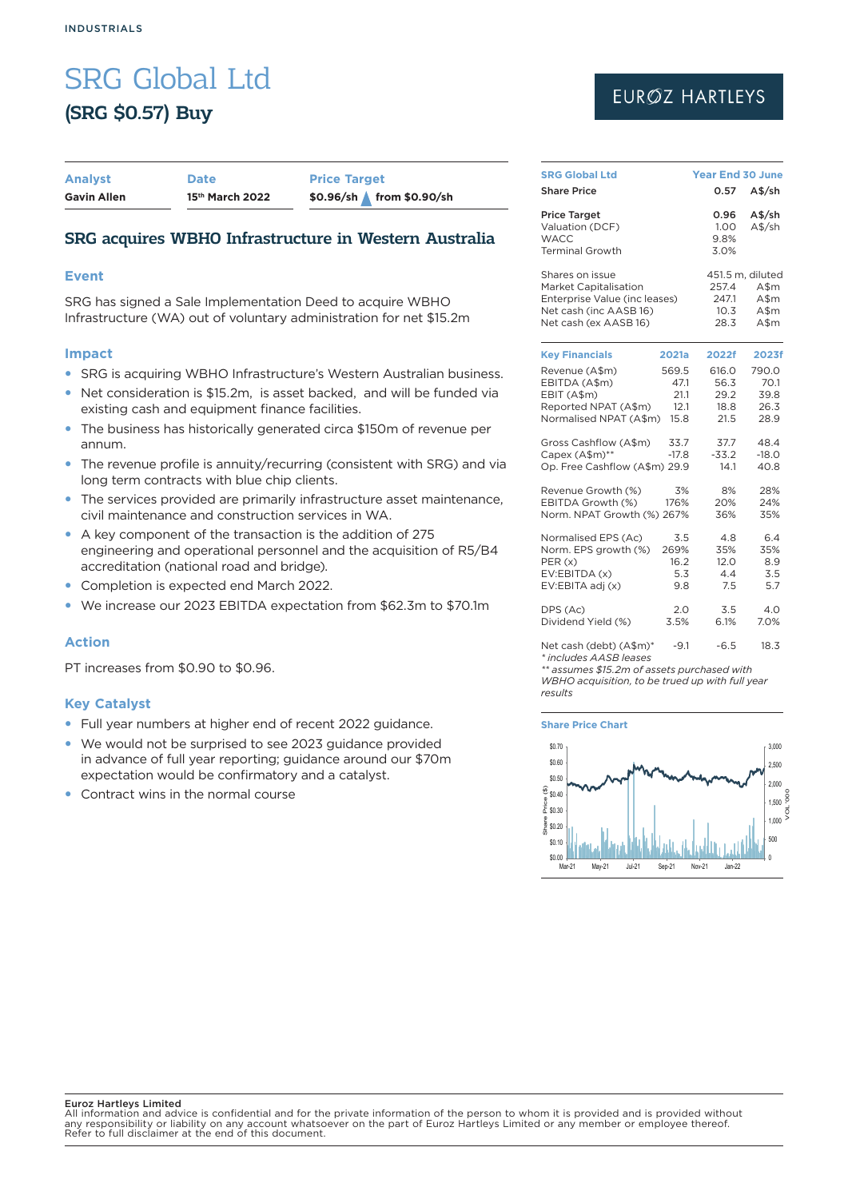# SRG Global Ltd (SRG \$0.57) Buy

| <b>Analyst</b>     | <b>Date</b>                 | <b>Price Target</b>      |
|--------------------|-----------------------------|--------------------------|
| <b>Gavin Allen</b> | 15 <sup>th</sup> March 2022 | \$0.96/sh from \$0.90/sh |

## SRG acquires WBHO Infrastructure in Western Australia

## **Event**

SRG has signed a Sale Implementation Deed to acquire WBHO Infrastructure (WA) out of voluntary administration for net \$15.2m

### **Impact**

- SRG is acquiring WBHO Infrastructure's Western Australian business.
- Net consideration is \$15.2m, is asset backed, and will be funded via existing cash and equipment finance facilities.
- The business has historically generated circa \$150m of revenue per annum.
- The revenue profile is annuity/recurring (consistent with SRG) and via long term contracts with blue chip clients.
- The services provided are primarily infrastructure asset maintenance, civil maintenance and construction services in WA.
- A key component of the transaction is the addition of 275 engineering and operational personnel and the acquisition of R5/B4 accreditation (national road and bridge).
- Completion is expected end March 2022.
- We increase our 2023 EBITDA expectation from \$62.3m to \$70.1m

## **Action**

PT increases from \$0.90 to \$0.96.

## **Key Catalyst**

- Full year numbers at higher end of recent 2022 guidance.
- We would not be surprised to see 2023 quidance provided in advance of full year reporting; guidance around our \$70m expectation would be confirmatory and a catalyst.
- Contract wins in the normal course

# **EUROZ HARTLEYS**

| <b>SRG Global Ltd</b>                                                                                                        | <b>Year End 30 June</b>               |                                       |                                                        |  |
|------------------------------------------------------------------------------------------------------------------------------|---------------------------------------|---------------------------------------|--------------------------------------------------------|--|
| <b>Share Price</b>                                                                                                           |                                       | 0.57                                  | A\$/sh                                                 |  |
| <b>Price Target</b><br>Valuation (DCF)<br><b>WACC</b><br><b>Terminal Growth</b>                                              |                                       | 0.96<br>1.00<br>9.8%<br>3.0%          | A\$/sh<br>$A$$ /sh                                     |  |
| Shares on issue<br>Market Capitalisation<br>Enterprise Value (inc leases)<br>Net cash (inc AASB 16)<br>Net cash (ex AASB 16) |                                       | 257.4<br>247.1<br>10.3<br>28.3        | 451.5 m, diluted<br>$A$ \$m<br>$A$ \$m<br>A\$m<br>A\$m |  |
| <b>Key Financials</b>                                                                                                        | 2021a                                 | 2022f                                 | 2023f                                                  |  |
| Revenue (A\$m)<br>EBITDA (A\$m)<br>EBIT (A\$m)<br>Reported NPAT (A\$m)<br>Normalised NPAT (A\$m)                             | 569.5<br>47.1<br>21.1<br>12.1<br>15.8 | 616.0<br>56.3<br>29.2<br>18.8<br>21.5 | 790.0<br>70.1<br>39.8<br>26.3<br>28.9                  |  |
| Gross Cashflow (A\$m)<br>Capex (A\$m)**<br>Op. Free Cashflow (A\$m) 29.9                                                     | 33.7<br>$-17.8$                       | 37.7<br>$-33.2$<br>14.1               | 48.4<br>$-18.0$<br>40.8                                |  |
| Revenue Growth (%)<br>EBITDA Growth (%)<br>Norm. NPAT Growth (%) 267%                                                        | 3%<br>176%                            | 8%<br>20%<br>36%                      | 28%<br>24%<br>35%                                      |  |
| Normalised EPS (Ac)<br>Norm. EPS growth (%)<br>PER(x)<br>EV:EBITDA (x)<br>EV:EBITA adj (x)                                   | 3.5<br>269%<br>16.2<br>5.3<br>9.8     | 4.8<br>35%<br>12.0<br>4.4<br>7.5      | 6.4<br>35%<br>8.9<br>3.5<br>5.7                        |  |
| DPS (Ac)<br>Dividend Yield (%)                                                                                               | 2.0<br>3.5%                           | 3.5<br>6.1%                           | 4.0<br>7.0%                                            |  |
| Net cash (debt) (A\$m)*                                                                                                      | -9.1                                  | $-6.5$                                | 18.3                                                   |  |

*\* includes AASB leases*

*\*\* assumes \$15.2m of assets purchased with* 

*WBHO acquisition, to be trued up with full year results*

**Share Price Chart**



#### Euroz Hartleys Limited

All information and advice is confidential and for the private information of the person to whom it is provided and is provided without any responsibility or liability on any account whatsoever on the part of Euroz Hartleys Limited or any member or employee thereof. Refer to full disclaimer at the end of this document.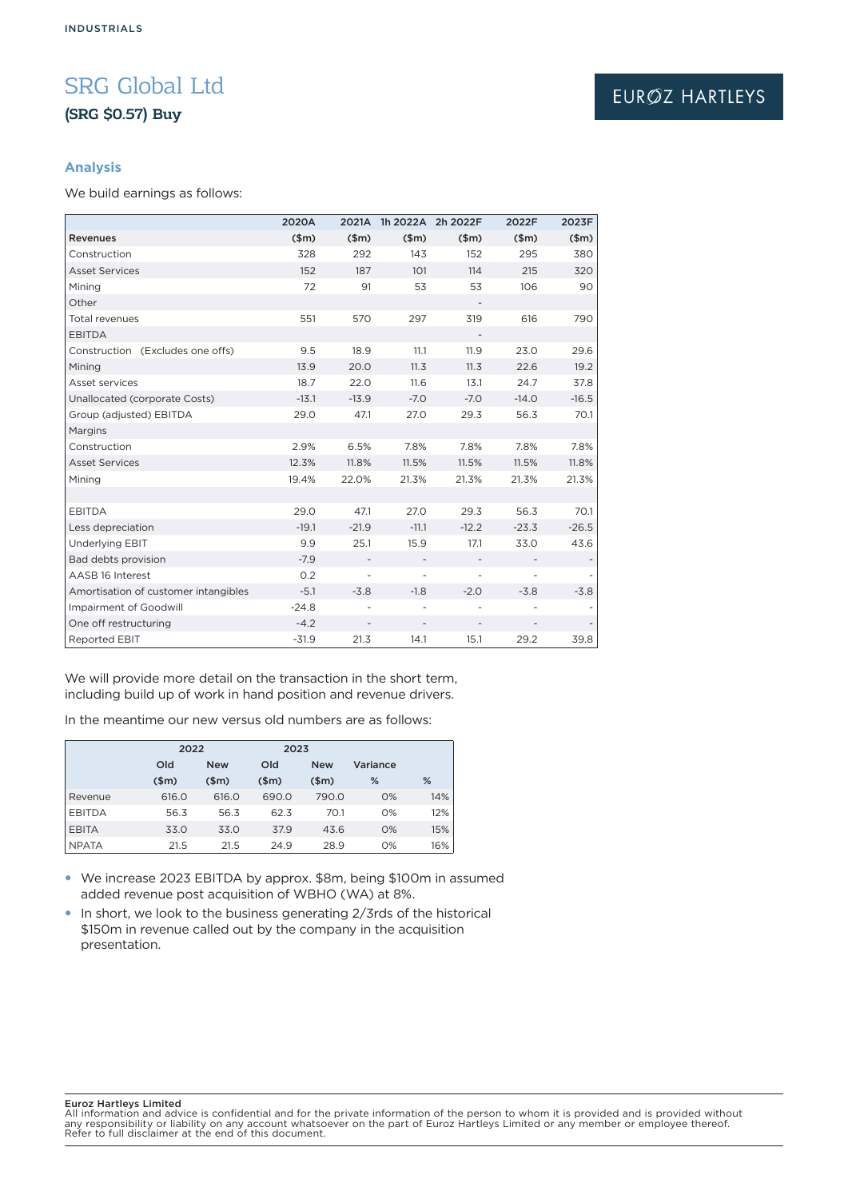# SRG Global Ltd (SRG \$0.57) Buy

# EURØZ HARTLEYS

## **Analysis**

We build earnings as follows:

|                                      | 2020A   | 2021A                    |                          | 1h 2022A 2h 2022F        | 2022F   | 2023F   |
|--------------------------------------|---------|--------------------------|--------------------------|--------------------------|---------|---------|
| Revenues                             | \$m\$   | \$m\$                    | \$m\$                    | \$m\$                    | \$m\$   | \$m\$   |
| Construction                         | 328     | 292                      | 143                      | 152                      | 295     | 380     |
| <b>Asset Services</b>                | 152     | 187                      | 101                      | 114                      | 215     | 320     |
| Mining                               | 72      | 91                       | 53                       | 53                       | 106     | 90      |
| Other                                |         |                          |                          | $\overline{\phantom{a}}$ |         |         |
| <b>Total revenues</b>                | 551     | 570                      | 297                      | 319                      | 616     | 790     |
| <b>EBITDA</b>                        |         |                          |                          |                          |         |         |
| Construction (Excludes one offs)     | 9.5     | 18.9                     | 11.1                     | 11.9                     | 23.0    | 29.6    |
| Mining                               | 13.9    | 20.0                     | 11.3                     | 11.3                     | 22.6    | 19.2    |
| Asset services                       | 18.7    | 22.0                     | 11.6                     | 13.1                     | 24.7    | 37.8    |
| Unallocated (corporate Costs)        | $-13.1$ | $-13.9$                  | $-7.0$                   | $-7.0$                   | $-14.0$ | $-16.5$ |
| Group (adjusted) EBITDA              | 29.0    | 47.1                     | 27.0                     | 29.3                     | 56.3    | 70.1    |
| Margins                              |         |                          |                          |                          |         |         |
| Construction                         | 2.9%    | 6.5%                     | 7.8%                     | 7.8%                     | 7.8%    | 7.8%    |
| <b>Asset Services</b>                | 12.3%   | 11.8%                    | 11.5%                    | 11.5%                    | 11.5%   | 11.8%   |
| Mining                               | 19.4%   | 22.0%                    | 21.3%                    | 21.3%                    | 21.3%   | 21.3%   |
|                                      |         |                          |                          |                          |         |         |
| <b>EBITDA</b>                        | 29.0    | 47.1                     | 27.0                     | 29.3                     | 56.3    | 70.1    |
| Less depreciation                    | $-19.1$ | $-21.9$                  | $-11.1$                  | $-12.2$                  | $-23.3$ | $-26.5$ |
| <b>Underlying EBIT</b>               | 9.9     | 25.1                     | 15.9                     | 17.1                     | 33.0    | 43.6    |
| Bad debts provision                  | $-7.9$  |                          |                          |                          |         |         |
| AASB 16 Interest                     | 0.2     |                          | $\overline{\phantom{0}}$ |                          |         |         |
| Amortisation of customer intangibles | $-5.1$  | $-3.8$                   | $-1.8$                   | $-2.0$                   | $-3.8$  | $-3.8$  |
| Impairment of Goodwill               | $-24.8$ | $\overline{\phantom{a}}$ | $\overline{\phantom{a}}$ | $\overline{\phantom{a}}$ |         |         |
| One off restructuring                | $-4.2$  | $\overline{\phantom{a}}$ | $\qquad \qquad -$        | $\overline{\phantom{a}}$ |         |         |
| <b>Reported EBIT</b>                 | $-31.9$ | 21.3                     | 14.1                     | 15.1                     | 29.2    | 39.8    |

We will provide more detail on the transaction in the short term, including build up of work in hand position and revenue drivers.

In the meantime our new versus old numbers are as follows:

|               | 2022  |            | 2023  |            |          |     |
|---------------|-------|------------|-------|------------|----------|-----|
|               | Old   | <b>New</b> | Old   | <b>New</b> | Variance |     |
|               | \$m\$ | \$m\$      | \$m\$ | \$m\$      | %        | %   |
| Revenue       | 616.0 | 616.0      | 690.0 | 790.0      | 0%       | 14% |
| <b>EBITDA</b> | 56.3  | 56.3       | 62.3  | 70.1       | 0%       | 12% |
| <b>EBITA</b>  | 33.0  | 33.0       | 37.9  | 43.6       | 0%       | 15% |
| <b>NPATA</b>  | 21.5  | 21.5       | 24.9  | 28.9       | 0%       | 16% |

- We increase 2023 EBITDA by approx. \$8m, being \$100m in assumed added revenue post acquisition of WBHO (WA) at 8%.
- $\bullet$  In short, we look to the business generating 2/3rds of the historical \$150m in revenue called out by the company in the acquisition presentation.

#### Euroz Hartleys Limited

All information and advice is confidential and for the private information of the person to whom it is provided and is provided without<br>any responsibility or liability on any account whatsoever on the part of Euroz Hartley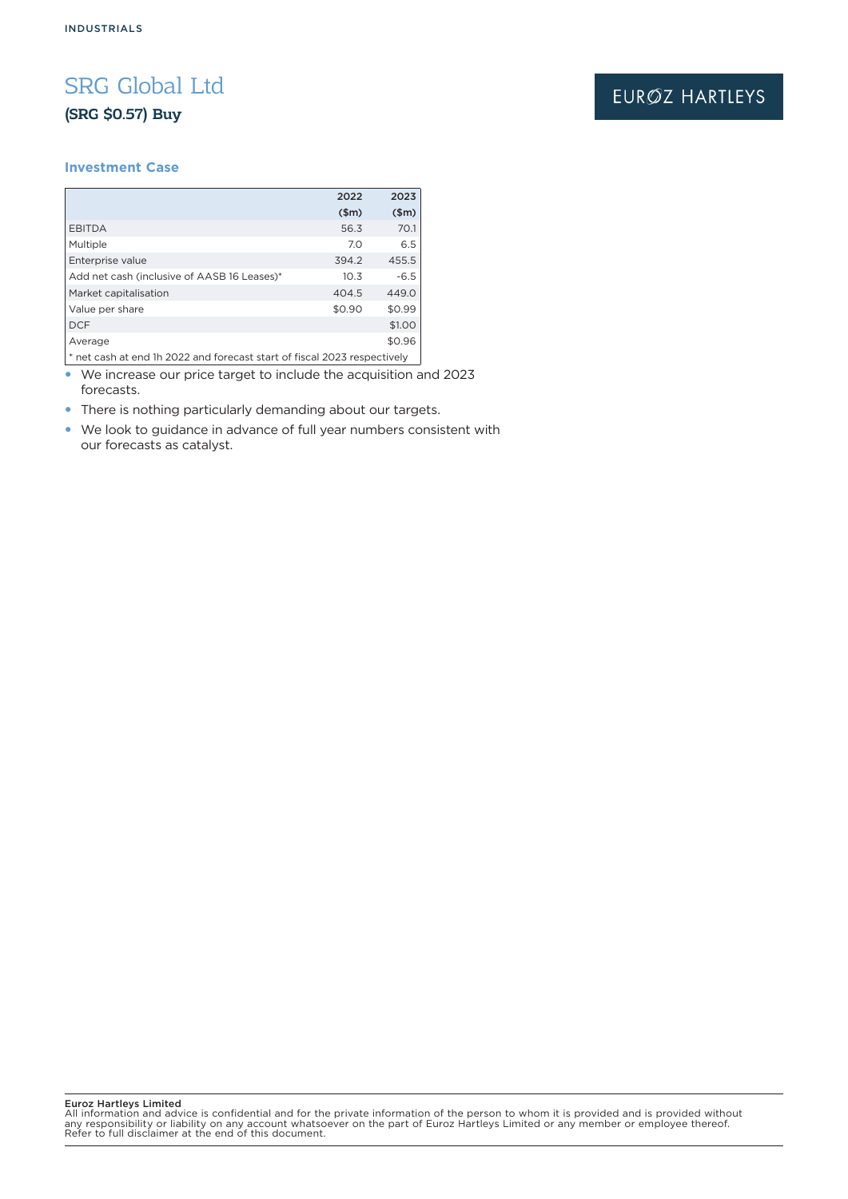# SRG Global Ltd (SRG \$0.57) Buy

### **Investment Case**

|                                             | 2022   | 2023   |  |  |
|---------------------------------------------|--------|--------|--|--|
|                                             | \$m\$  | \$m\$  |  |  |
| <b>EBITDA</b>                               | 56.3   | 70.1   |  |  |
| Multiple                                    | 7.0    | 6.5    |  |  |
| Enterprise value                            | 394.2  | 455.5  |  |  |
| Add net cash (inclusive of AASB 16 Leases)* | 10.3   | $-6.5$ |  |  |
| Market capitalisation                       | 404.5  | 449.0  |  |  |
| Value per share                             | \$0.90 | \$0.99 |  |  |
| <b>DCF</b>                                  |        | \$1.00 |  |  |
| Average                                     |        | \$0.96 |  |  |
|                                             |        |        |  |  |

\* net cash at end 1h 2022 and forecast start of fiscal 2023 respectively • We increase our price target to include the acquisition and 2023

forecasts. • There is nothing particularly demanding about our targets.

• We look to guidance in advance of full year numbers consistent with our forecasts as catalyst.

Euroz Hartleys Limited

All information and advice is confidential and for the private information of the person to whom it is provided and is provided without<br>any responsibility or liability on any account whatsoever on the part of Euroz Hartley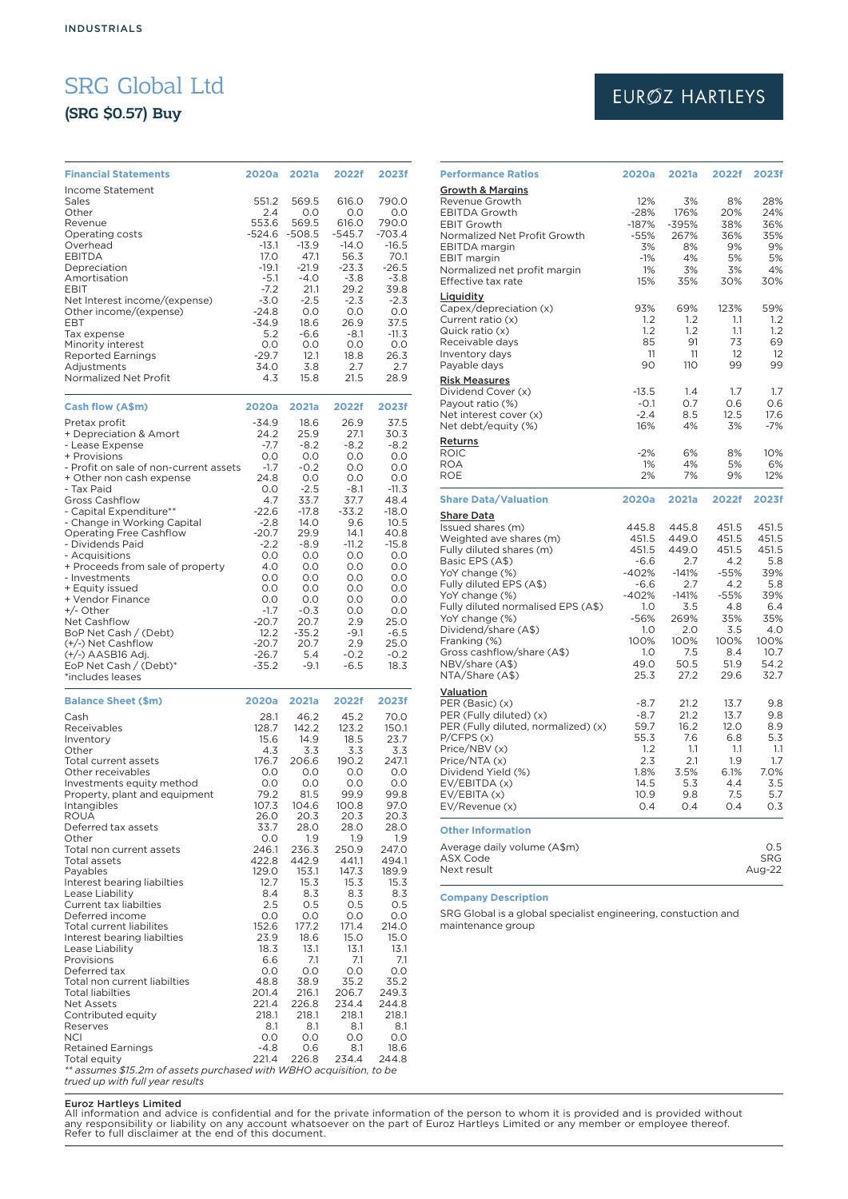# SRG Global Ltd

# (SRG \$0.57) Buy

| <b>Financial Statements</b>                                                         | 2020a        | 2021a    | 2022f       | 2023f   |
|-------------------------------------------------------------------------------------|--------------|----------|-------------|---------|
| Income Statement                                                                    |              |          |             |         |
| Sales                                                                               | 551.2        | 569.5    | 616.0       | 790.0   |
| Other                                                                               | 2.4          | 0.0      | 0.0         | 0.0     |
| Revenue                                                                             | 553.6        | 569.5    | 616.0       | 790.0   |
| Operating costs                                                                     | -524.6       | $-508.5$ | $-545.7$    | -703.4  |
| Overhead                                                                            | $-13.1$      | $-13.9$  | $-14.0$     | $-16.5$ |
| <b>EBITDA</b>                                                                       | 17.0         | 47.1     | 56.3        | 70.1    |
| Depreciation                                                                        | $-19.1$      | $-21.9$  | $-23.3$     | $-26.5$ |
| Amortisation                                                                        | $-5.1$       | $-4.0$   | $-3.8$      | $-3.8$  |
| EBIT                                                                                | $-7.2$       | 21.1     | 29.2        | 39.8    |
| Net Interest income/(expense)                                                       | $-3.0$       | $-2.5$   | $-2.3$      | $-2.3$  |
| Other income/(expense)                                                              | $-24.8$      | 0.0      | 0.0         | 0.0     |
| EBT                                                                                 | $-34.9$      | 18.6     | 26.9        | 37.5    |
| Tax expense                                                                         | 5.2          | $-6.6$   | $-8.1$      | $-11.3$ |
| Minority interest                                                                   | O.O          | O.O      | O.O         | 0.0     |
| <b>Reported Earnings</b>                                                            | $-29.7$      | 12.1     | 18.8        | 26.3    |
| Adjustments                                                                         | 34.0         | 3.8      | 2.7         | 2.7     |
| Normalized Net Profit                                                               | 4.3          | 15.8     | 21.5        | 28.9    |
|                                                                                     |              |          |             |         |
|                                                                                     |              |          |             |         |
| Cash flow (A\$m)                                                                    | 2020a        | 2021a    | 2022f       | 2023f   |
| Pretax profit                                                                       | $-34.9$      | 18.6     | 26.9        | 37.5    |
| + Depreciation & Amort                                                              | 24.2         | 25.9     | 27.1        | 30.3    |
| - Lease Expense                                                                     | $-7.7$       | $-8.2$   | $-8.2$      | $-8.2$  |
| + Provisions                                                                        | O.O          | 0.0      | 0.0         | O.O     |
| - Profit on sale of non-current assets                                              | $-1.7$       | $-0.2$   | 0.0         | 0.0     |
| + Other non cash expense                                                            | 24.8         | 0.0      | 0.0         | 0.0     |
| - Tax Paid                                                                          | 0.0          | $-2.5$   | -8.1        | $-11.3$ |
| <b>Gross Cashflow</b>                                                               | 4.7          | 33.7     | 37.7        | 48.4    |
| - Capital Expenditure**                                                             | $-22.6$      | $-17.8$  | $-33.2$     | $-18.0$ |
| - Change in Working Capital                                                         | $-2.8$       | 14.0     | 9.6         | 10.5    |
| <b>Operating Free Cashflow</b>                                                      | -20.7        | 29.9     | 14.1        | 40.8    |
| - Dividends Paid                                                                    | $-2.2$       | $-8.9$   | $-11.2$     | $-15.8$ |
| - Acquisitions                                                                      | 0.0          | 0.0      | 0.0         | 0.0     |
| + Proceeds from sale of property                                                    | 4.0          | 0.0      | O.O         | 0.0     |
| - Investments                                                                       | O.O          | O.O      | 0.0         | 0.0     |
| + Equity issued                                                                     | 0.0          | 0.0      | O.O         | 0.0     |
| + Vendor Finance                                                                    | O.O          | 0.0      | O.O         | 0.0     |
| +/- Other                                                                           | $-1.7$       | $-0.3$   | 0.0         | 0.0     |
| Net Cashflow                                                                        | $-20.7$      | 20.7     | 2.9         | 25.0    |
| BoP Net Cash / (Debt)                                                               | 12.2         | $-35.2$  | $-9.1$      | $-6.5$  |
| (+/-) Net Cashflow                                                                  | $-20.7$      | 20.7     | 2.9         | 25.0    |
| (+/-) AASB16 Adj.                                                                   | $-26.7$      | 5.4      | $-0.2$      | $-0.2$  |
| EoP Net Cash / (Debt)*                                                              | -35.2        | $-9.1$   | $-6.5$      | 18.3    |
| *includes leases                                                                    |              |          |             |         |
|                                                                                     |              |          |             |         |
| <b>Balance Sheet (\$m)</b>                                                          | 2020a        | 2021a    | 2022f       | 2023f   |
|                                                                                     |              | 46.2     | 45.2        |         |
| Cash                                                                                | 28.1         |          |             | 70.0    |
| Receivables                                                                         | 128.7        | 142.2    | 123.2       | 150.1   |
| Inventory                                                                           | 15.6         | 14.9     | 18.5<br>3.3 | 23.7    |
| Other                                                                               | 4.3<br>176.7 | 3.3      |             |         |
| <b>Total current assets</b>                                                         |              |          |             | 3.3     |
| Other receivables                                                                   |              | 206.6    | 190.2       | 247.1   |
| Investments equity method                                                           | 0.0          | 0.0      | 0.0         | 0.0     |
|                                                                                     | 0.0          | 0.0      | 0.0         | 0.0     |
| Property, plant and equipment                                                       | 79.2         | 81.5     | 99.9        | 99.8    |
| Intangibles                                                                         | 107.3        | 104.6    | 100.8       | 97.0    |
| <b>ROUA</b>                                                                         | 26.0         | 20.3     | 20.3        | 20.3    |
| Deferred tax assets                                                                 | 33.7         | 28.0     | 28.0        | 28.0    |
| Other                                                                               | 0.0          | 1.9      | 1.9         | 1.9     |
| Total non current assets                                                            | 246.1        | 236.3    | 250.9       | 247.0   |
| Total assets                                                                        | 422.8        | 442.9    | 441.1       | 494.1   |
| Payables                                                                            | 129.0        | 153.1    | 147.3       | 189.9   |
| Interest bearing liabilties                                                         | 12.7         | 15.3     | 15.3        | 15.3    |
| Lease Liability                                                                     | 8.4          | 8.3      | 8.3         | 8.3     |
| Current tax liabilties                                                              | 2.5          | 0.5      | 0.5         | 0.5     |
| Deferred income                                                                     | 0.0          | 0.0      | 0.0         | 0.0     |
| <b>Total current liabilites</b>                                                     | 152.6        | 177.2    | 171.4       | 214.0   |
| Interest bearing liabilties                                                         | 23.9         | 18.6     | 15.0        | 15.0    |
| Lease Liability                                                                     | 18.3         | 13.1     | 13.1        | 13.1    |
| Provisions                                                                          | 6.6          | 7.1      | 7.1         | 7.1     |
| Deferred tax                                                                        | 0.0          | O.O      | O.O         | 0.0     |
| Total non current liabilties                                                        | 48.8         | 38.9     | 35.2        | 35.2    |
| <b>Total liabilties</b>                                                             | 201.4        | 216.1    | 206.7       | 249.3   |
| <b>Net Assets</b>                                                                   | 221.4        | 226.8    | 234.4       | 244.8   |
| Contributed equity                                                                  | 218.1        | 218.1    | 218.1       | 218.1   |
| Reserves                                                                            | 8.1          | 8.1      | 8.1         | 8.1     |
| NCI                                                                                 | 0.0          | 0.0      | 0.0         | 0.0     |
| <b>Retained Earnings</b>                                                            | -4.8         | 0.6      | 8.1         | 18.6    |
| Total equity<br>** assumes \$15.2m of assets purchased with WBHO acquisition, to be | 221.4        | 226.8    | 234.4       | 244.8   |

# EURØZ HARTLEYS

| <b>Performance Ratios</b>                                                                                                                                                                                                                                                                                                                    | 2020a                                                                                                                  | 2021a                                                                                                            | 2022f                                                                                                         | 2023f                                                                                                    |
|----------------------------------------------------------------------------------------------------------------------------------------------------------------------------------------------------------------------------------------------------------------------------------------------------------------------------------------------|------------------------------------------------------------------------------------------------------------------------|------------------------------------------------------------------------------------------------------------------|---------------------------------------------------------------------------------------------------------------|----------------------------------------------------------------------------------------------------------|
| <b>Growth &amp; Margins</b><br>Revenue Growth<br><b>EBITDA Growth</b><br><b>EBIT Growth</b><br>Normalized Net Profit Growth<br><b>EBITDA</b> margin<br><b>EBIT</b> margin<br>Normalized net profit margin<br>Effective tax rate                                                                                                              | 12%<br>$-28%$<br>$-187%$<br>$-55%$<br>3%<br>$-1%$<br>1%<br>15%                                                         | 3%<br>176%<br>$-395%$<br>267%<br>8%<br>4%<br>3%<br>35%                                                           | 8%<br>20%<br>38%<br>36%<br>9%<br>5%<br>3%<br>30%                                                              | 28%<br>24%<br>36%<br>35%<br>9%<br>5%<br>4%<br>30%                                                        |
| Liquidity<br>Capex/depreciation (x)<br>Current ratio (x)<br>Quick ratio (x)<br>Receivable days<br>Inventory days<br>Payable days                                                                                                                                                                                                             | 93%<br>1.2<br>1.2<br>85<br>11<br>90                                                                                    | 69%<br>1.2<br>1.2<br>91<br>11<br>110                                                                             | 123%<br>1.1<br>1.1<br>73<br>12<br>99                                                                          | 59%<br>1.2<br>1.2<br>69<br>12<br>99                                                                      |
| <b>Risk Measures</b><br>Dividend Cover (x)<br>Payout ratio (%)<br>Net interest cover (x)<br>Net debt/equity (%)                                                                                                                                                                                                                              | $-13.5$<br>$-0.1$<br>$-2.4$<br>16%                                                                                     | 1.4<br>0.7<br>8.5<br>4%                                                                                          | 1.7<br>0.6<br>12.5<br>3%                                                                                      | 1.7<br>0.6<br>17.6<br>$-7%$                                                                              |
| Returns<br><b>ROIC</b><br><b>ROA</b><br><b>ROE</b>                                                                                                                                                                                                                                                                                           | $-2%$<br>1%<br>2%                                                                                                      | 6%<br>4%<br>7%                                                                                                   | 8%<br>5%<br>9%                                                                                                | 10%<br>6%<br>12%                                                                                         |
| <b>Share Data/Valuation</b>                                                                                                                                                                                                                                                                                                                  | 2020a                                                                                                                  | 2021a                                                                                                            | 2022f                                                                                                         | 2023f                                                                                                    |
| Share Data<br>Issued shares (m)<br>Weighted ave shares (m)<br>Fully diluted shares (m)<br>Basic EPS (A\$)<br>YoY change (%)<br>Fully diluted EPS (A\$)<br>YoY change (%)<br>Fully diluted normalised EPS (A\$)<br>YoY change (%)<br>Dividend/share (A\$)<br>Franking (%)<br>Gross cashflow/share (A\$)<br>NBV/share (A\$)<br>NTA/Share (A\$) | 445.8<br>451.5<br>451.5<br>$-6.6$<br>$-402%$<br>$-6.6$<br>$-402%$<br>1.0<br>-56%<br>1.0<br>100%<br>1.0<br>49.0<br>25.3 | 445.8<br>449.0<br>449.0<br>2.7<br>$-141%$<br>2.7<br>$-141%$<br>3.5<br>269%<br>2.0<br>100%<br>7.5<br>50.5<br>27.2 | 451.5<br>451.5<br>451.5<br>4.2<br>$-55%$<br>4.2<br>$-55%$<br>4.8<br>35%<br>3.5<br>100%<br>8.4<br>51.9<br>29.6 | 451.5<br>451.5<br>451.5<br>5.8<br>39%<br>5.8<br>39%<br>6.4<br>35%<br>4.0<br>100%<br>10.7<br>54.2<br>32.7 |
| Valuation<br>PER (Basic) (x)<br>PER (Fully diluted) (x)<br>PER (Fully diluted, normalized) (x)<br>P/CFPS(x)<br>Price/NBV (x)<br>Price/NTA (x)<br>Dividend Yield (%)<br>EV/EBITDA (x)<br>EV/EBITA(x)<br>EV/Revenue (x)                                                                                                                        | $-8.7$<br>$-8.7$<br>59.7<br>55.3<br>1.2<br>2.3<br>1.8%<br>14.5<br>10.9<br>0.4                                          | 21.2<br>21.2<br>16.2<br>7.6<br>1.1<br>2.1<br>3.5%<br>5.3<br>9.8<br>0.4                                           | 13.7<br>13.7<br>12.0<br>6.8<br>1.1<br>1.9<br>6.1%<br>4.4<br>7.5<br>0.4                                        | 9.8<br>9.8<br>8.9<br>5.3<br>1.1<br>1.7<br>7.0%<br>3.5<br>5.7<br>0.3                                      |
| <b>Other Information</b><br>Average daily volume (A\$m)                                                                                                                                                                                                                                                                                      |                                                                                                                        |                                                                                                                  |                                                                                                               | 0.5                                                                                                      |
| <b>ASX Code</b><br>Next result                                                                                                                                                                                                                                                                                                               |                                                                                                                        |                                                                                                                  |                                                                                                               | <b>SRG</b><br>Aug-22                                                                                     |

### **Company Description**

SRG Global is a global specialist engineering, constuction and maintenance group

Euroz Hartleys Limited

All information and advice is confidential and for the private information of the person to whom it is provided and is provided without<br>any responsibility or liability on any account whatsoever on the part of Euroz Hartley